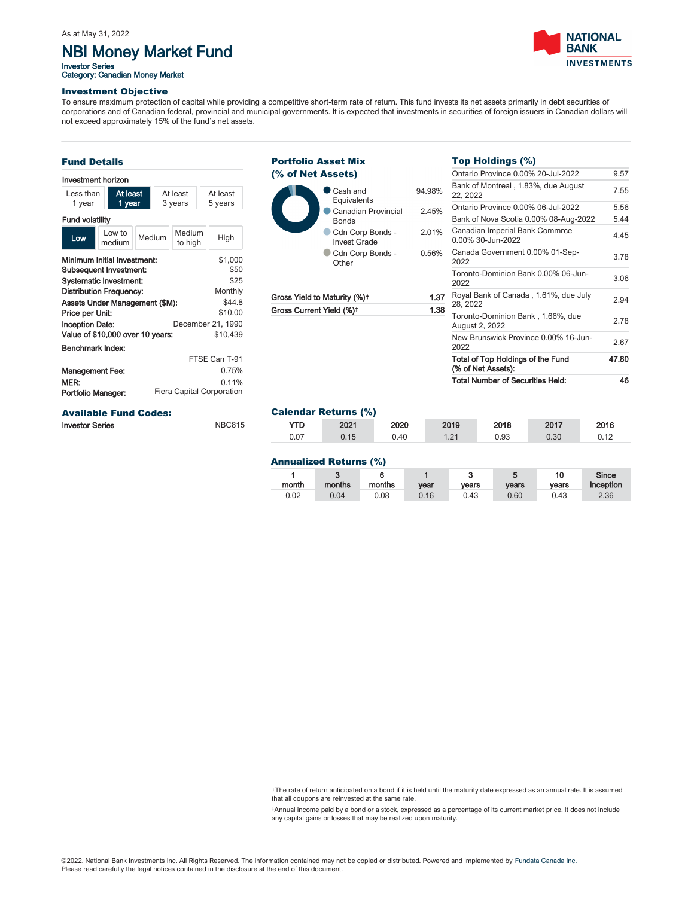# NBI Money Market Fund

Investor Series<br>Category: Canadian Money Market



47.80

Investment Objective

To ensure maximum protection of capital while providing a competitive short-term rate of return. This fund invests its net assets primarily in debt securities of corporations and of Canadian federal, provincial and municipal governments. It is expected that investments in securities of foreign issuers in Canadian dollars will not exceed approximately 15% of the fund's net assets.

| <b>Fund Details</b>                                  |                                                                                                                                                                                                       |        |                     |                   |                                                                                          |  |
|------------------------------------------------------|-------------------------------------------------------------------------------------------------------------------------------------------------------------------------------------------------------|--------|---------------------|-------------------|------------------------------------------------------------------------------------------|--|
| Investment horizon                                   |                                                                                                                                                                                                       |        |                     |                   |                                                                                          |  |
| At least<br>I ess than<br>1 year<br>1 year           |                                                                                                                                                                                                       |        | At least<br>3 years |                   | At least<br>5 years                                                                      |  |
| <b>Fund volatility</b>                               |                                                                                                                                                                                                       |        |                     |                   |                                                                                          |  |
| Low                                                  | I ow to<br>medium                                                                                                                                                                                     | Medium |                     | Medium<br>to high | High                                                                                     |  |
| Price per Unit:<br><b>Inception Date:</b>            | Minimum Initial Investment:<br><b>Subsequent Investment:</b><br><b>Systematic Investment:</b><br><b>Distribution Frequency:</b><br>Assets Under Management (\$M):<br>Value of \$10,000 over 10 years: |        |                     |                   | \$1,000<br>\$50<br>\$25<br>Monthly<br>\$44.8<br>\$10.00<br>December 21, 1990<br>\$10.439 |  |
| Benchmark Index:                                     |                                                                                                                                                                                                       |        |                     |                   |                                                                                          |  |
| <b>Management Fee:</b><br>MER:<br>Portfolio Manager: |                                                                                                                                                                                                       |        |                     |                   | FTSF Can T-91<br>0.75%<br>0.11%<br>Fiera Capital Corporation                             |  |
|                                                      | <b>Available Fund Codes:</b>                                                                                                                                                                          |        |                     |                   |                                                                                          |  |

Investor Series NBC815



### Calendar Returns (%)

| YTD. | 2021 | 2020 | 2019 | 2018 | 2017 | 2016 |
|------|------|------|------|------|------|------|
| 0.07 | 0.15 | 0.40 | 1.21 | 0.93 | 0.30 | 0.12 |
|      |      |      |      |      |      |      |

### Annualized Returns (%)

| month | $\bullet$<br>o<br>months | months | vear | vears | vears | 10<br>vears | Since<br>Inception |
|-------|--------------------------|--------|------|-------|-------|-------------|--------------------|
| 0.02  | 0.04                     | 0.08   | 0.16 | 0.43  | 0.60  | 0.43        | 2.36               |

†The rate of return anticipated on a bond if it is held until the maturity date expressed as an annual rate. It is assumed that all coupons are reinvested at the same rate.

‡Annual income paid by a bond or a stock, expressed as a percentage of its current market price. It does not include any capital gains or losses that may be realized upon maturity.